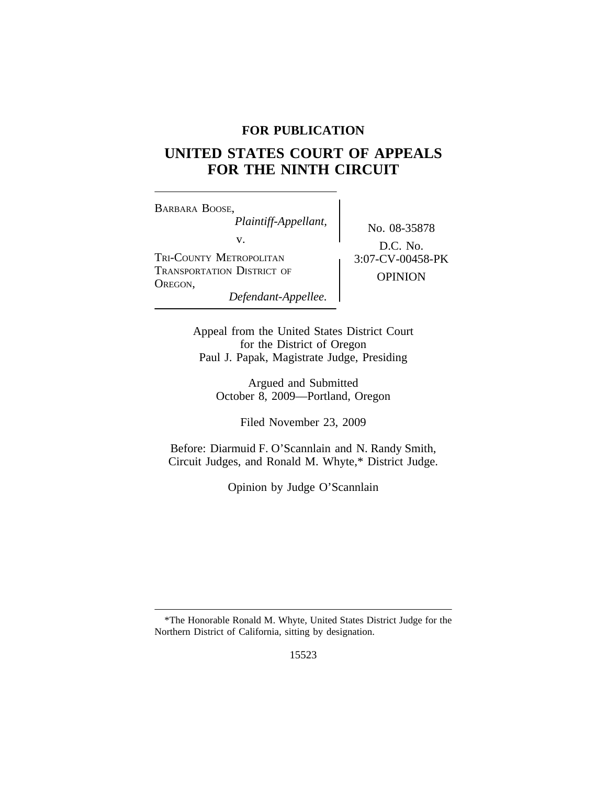# **FOR PUBLICATION**

# **UNITED STATES COURT OF APPEALS FOR THE NINTH CIRCUIT**

<sup>B</sup>ARBARA BOOSE, *Plaintiff-Appellant,* No. 08-35878<br>v. D.G. N. TRI-COUNTY METROPOLITAN <br>  $\begin{array}{|c|c|c|c|c|}\n\hline\n3:07-CV-00458-PK\n\end{array}$ TRANSPORTATION DISTRICT OF **OPINION** OPINION *Defendant-Appellee.*

D.C. No.

Appeal from the United States District Court for the District of Oregon Paul J. Papak, Magistrate Judge, Presiding

> Argued and Submitted October 8, 2009—Portland, Oregon

> > Filed November 23, 2009

Before: Diarmuid F. O'Scannlain and N. Randy Smith, Circuit Judges, and Ronald M. Whyte,\* District Judge.

Opinion by Judge O'Scannlain

<sup>\*</sup>The Honorable Ronald M. Whyte, United States District Judge for the Northern District of California, sitting by designation.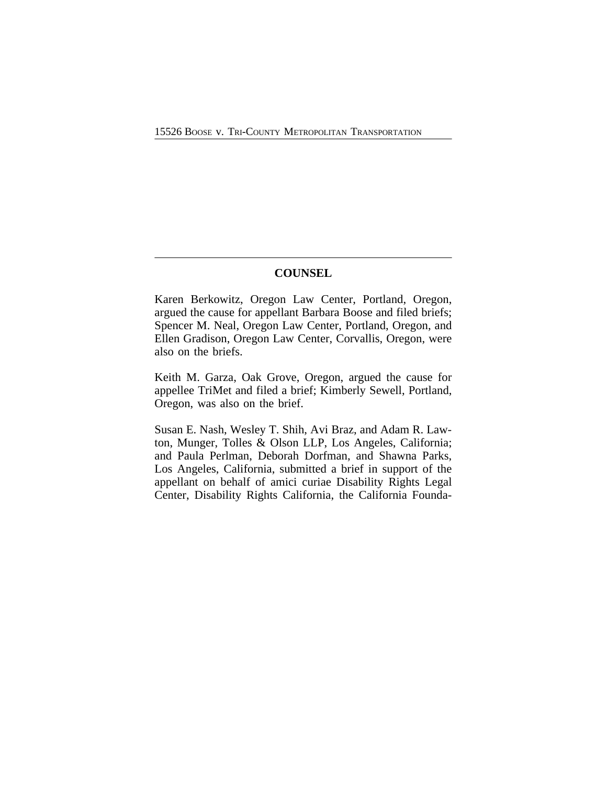## **COUNSEL**

Karen Berkowitz, Oregon Law Center, Portland, Oregon, argued the cause for appellant Barbara Boose and filed briefs; Spencer M. Neal, Oregon Law Center, Portland, Oregon, and Ellen Gradison, Oregon Law Center, Corvallis, Oregon, were also on the briefs.

Keith M. Garza, Oak Grove, Oregon, argued the cause for appellee TriMet and filed a brief; Kimberly Sewell, Portland, Oregon, was also on the brief.

Susan E. Nash, Wesley T. Shih, Avi Braz, and Adam R. Lawton, Munger, Tolles & Olson LLP, Los Angeles, California; and Paula Perlman, Deborah Dorfman, and Shawna Parks, Los Angeles, California, submitted a brief in support of the appellant on behalf of amici curiae Disability Rights Legal Center, Disability Rights California, the California Founda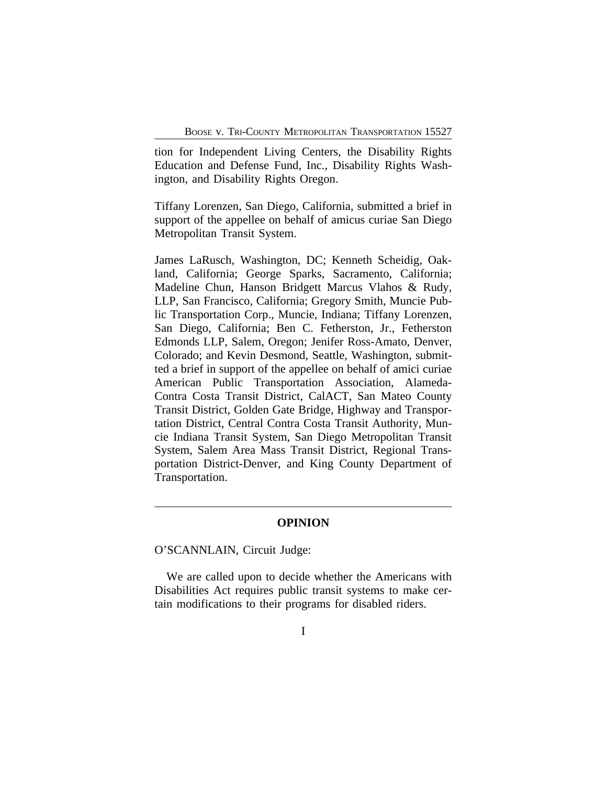tion for Independent Living Centers, the Disability Rights Education and Defense Fund, Inc., Disability Rights Washington, and Disability Rights Oregon.

Tiffany Lorenzen, San Diego, California, submitted a brief in support of the appellee on behalf of amicus curiae San Diego Metropolitan Transit System.

James LaRusch, Washington, DC; Kenneth Scheidig, Oakland, California; George Sparks, Sacramento, California; Madeline Chun, Hanson Bridgett Marcus Vlahos & Rudy, LLP, San Francisco, California; Gregory Smith, Muncie Public Transportation Corp., Muncie, Indiana; Tiffany Lorenzen, San Diego, California; Ben C. Fetherston, Jr., Fetherston Edmonds LLP, Salem, Oregon; Jenifer Ross-Amato, Denver, Colorado; and Kevin Desmond, Seattle, Washington, submitted a brief in support of the appellee on behalf of amici curiae American Public Transportation Association, Alameda-Contra Costa Transit District, CalACT, San Mateo County Transit District, Golden Gate Bridge, Highway and Transportation District, Central Contra Costa Transit Authority, Muncie Indiana Transit System, San Diego Metropolitan Transit System, Salem Area Mass Transit District, Regional Transportation District-Denver, and King County Department of Transportation.

### **OPINION**

O'SCANNLAIN, Circuit Judge:

We are called upon to decide whether the Americans with Disabilities Act requires public transit systems to make certain modifications to their programs for disabled riders.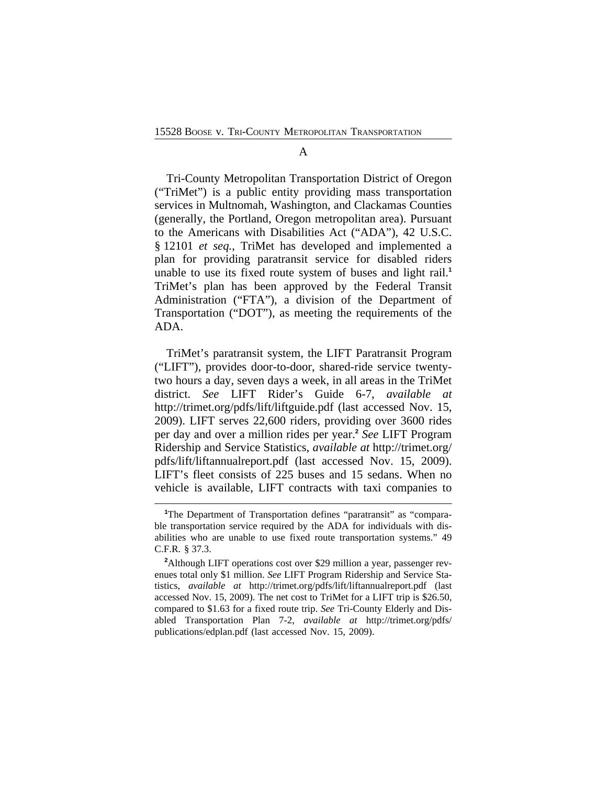#### A

Tri-County Metropolitan Transportation District of Oregon ("TriMet") is a public entity providing mass transportation services in Multnomah, Washington, and Clackamas Counties (generally, the Portland, Oregon metropolitan area). Pursuant to the Americans with Disabilities Act ("ADA"), 42 U.S.C. § 12101 *et seq.*, TriMet has developed and implemented a plan for providing paratransit service for disabled riders unable to use its fixed route system of buses and light rail.**<sup>1</sup>** TriMet's plan has been approved by the Federal Transit Administration ("FTA"), a division of the Department of Transportation ("DOT"), as meeting the requirements of the ADA.

TriMet's paratransit system, the LIFT Paratransit Program ("LIFT"), provides door-to-door, shared-ride service twentytwo hours a day, seven days a week, in all areas in the TriMet district. *See* LIFT Rider's Guide 6-7, *available at* http://trimet.org/pdfs/lift/liftguide.pdf (last accessed Nov. 15, 2009). LIFT serves 22,600 riders, providing over 3600 rides per day and over a million rides per year.**<sup>2</sup>** *See* LIFT Program Ridership and Service Statistics, *available at* http://trimet.org/ pdfs/lift/liftannualreport.pdf (last accessed Nov. 15, 2009). LIFT's fleet consists of 225 buses and 15 sedans. When no vehicle is available, LIFT contracts with taxi companies to

<sup>&</sup>lt;sup>1</sup>The Department of Transportation defines "paratransit" as "comparable transportation service required by the ADA for individuals with disabilities who are unable to use fixed route transportation systems." 49 C.F.R. § 37.3.

<sup>&</sup>lt;sup>2</sup>Although LIFT operations cost over \$29 million a year, passenger revenues total only \$1 million. *See* LIFT Program Ridership and Service Statistics, *available at* http://trimet.org/pdfs/lift/liftannualreport.pdf (last accessed Nov. 15, 2009). The net cost to TriMet for a LIFT trip is \$26.50, compared to \$1.63 for a fixed route trip. *See* Tri-County Elderly and Disabled Transportation Plan 7-2, *available at* http://trimet.org/pdfs/ publications/edplan.pdf (last accessed Nov. 15, 2009).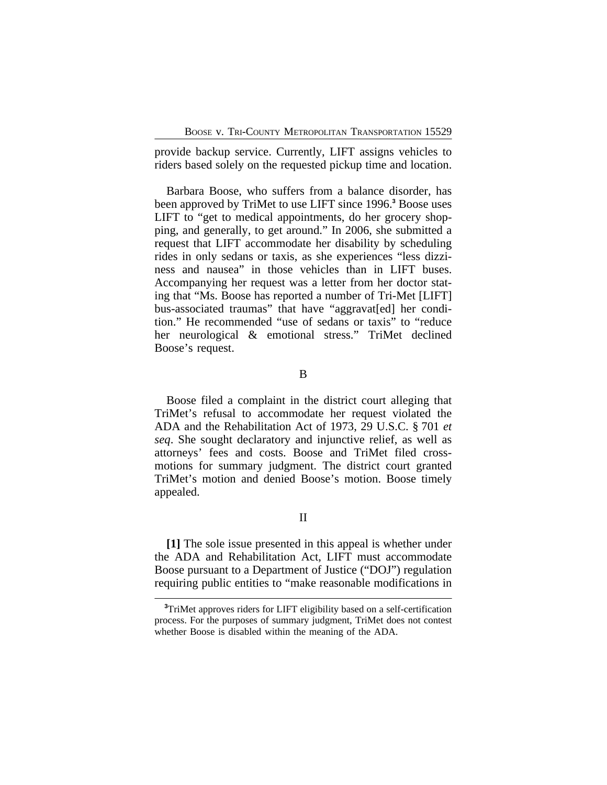provide backup service. Currently, LIFT assigns vehicles to riders based solely on the requested pickup time and location.

Barbara Boose, who suffers from a balance disorder, has been approved by TriMet to use LIFT since 1996.**<sup>3</sup>** Boose uses LIFT to "get to medical appointments, do her grocery shopping, and generally, to get around." In 2006, she submitted a request that LIFT accommodate her disability by scheduling rides in only sedans or taxis, as she experiences "less dizziness and nausea" in those vehicles than in LIFT buses. Accompanying her request was a letter from her doctor stating that "Ms. Boose has reported a number of Tri-Met [LIFT] bus-associated traumas" that have "aggravat[ed] her condition." He recommended "use of sedans or taxis" to "reduce her neurological & emotional stress." TriMet declined Boose's request.

## B

Boose filed a complaint in the district court alleging that TriMet's refusal to accommodate her request violated the ADA and the Rehabilitation Act of 1973, 29 U.S.C. § 701 *et seq*. She sought declaratory and injunctive relief, as well as attorneys' fees and costs. Boose and TriMet filed crossmotions for summary judgment. The district court granted TriMet's motion and denied Boose's motion. Boose timely appealed.

## II

**[1]** The sole issue presented in this appeal is whether under the ADA and Rehabilitation Act, LIFT must accommodate Boose pursuant to a Department of Justice ("DOJ") regulation requiring public entities to "make reasonable modifications in

**<sup>3</sup>**TriMet approves riders for LIFT eligibility based on a self-certification process. For the purposes of summary judgment, TriMet does not contest whether Boose is disabled within the meaning of the ADA.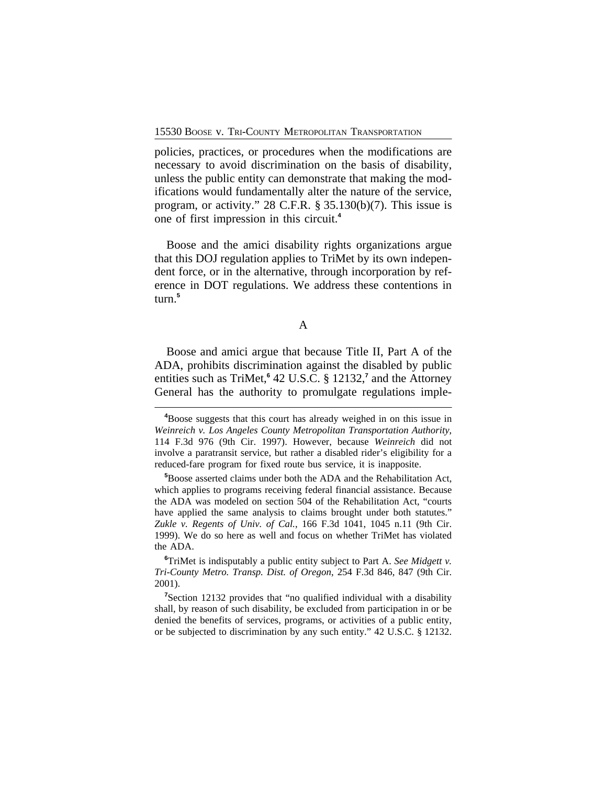policies, practices, or procedures when the modifications are necessary to avoid discrimination on the basis of disability, unless the public entity can demonstrate that making the modifications would fundamentally alter the nature of the service, program, or activity." 28 C.F.R. § 35.130(b)(7). This issue is one of first impression in this circuit.**<sup>4</sup>**

Boose and the amici disability rights organizations argue that this DOJ regulation applies to TriMet by its own independent force, or in the alternative, through incorporation by reference in DOT regulations. We address these contentions in turn.**<sup>5</sup>**

A

Boose and amici argue that because Title II, Part A of the ADA, prohibits discrimination against the disabled by public entities such as TriMet,**<sup>6</sup>** 42 U.S.C. § 12132,**<sup>7</sup>** and the Attorney General has the authority to promulgate regulations imple-

**<sup>4</sup>**Boose suggests that this court has already weighed in on this issue in *Weinreich v. Los Angeles County Metropolitan Transportation Authority*, 114 F.3d 976 (9th Cir. 1997). However, because *Weinreich* did not involve a paratransit service, but rather a disabled rider's eligibility for a reduced-fare program for fixed route bus service, it is inapposite.

**<sup>5</sup>**Boose asserted claims under both the ADA and the Rehabilitation Act, which applies to programs receiving federal financial assistance. Because the ADA was modeled on section 504 of the Rehabilitation Act, "courts have applied the same analysis to claims brought under both statutes." *Zukle v. Regents of Univ. of Cal.*, 166 F.3d 1041, 1045 n.11 (9th Cir. 1999). We do so here as well and focus on whether TriMet has violated the ADA.

**<sup>6</sup>**TriMet is indisputably a public entity subject to Part A. *See Midgett v. Tri-County Metro. Transp. Dist. of Oregon*, 254 F.3d 846, 847 (9th Cir. 2001).

**<sup>7</sup>**Section 12132 provides that "no qualified individual with a disability shall, by reason of such disability, be excluded from participation in or be denied the benefits of services, programs, or activities of a public entity, or be subjected to discrimination by any such entity." 42 U.S.C. § 12132.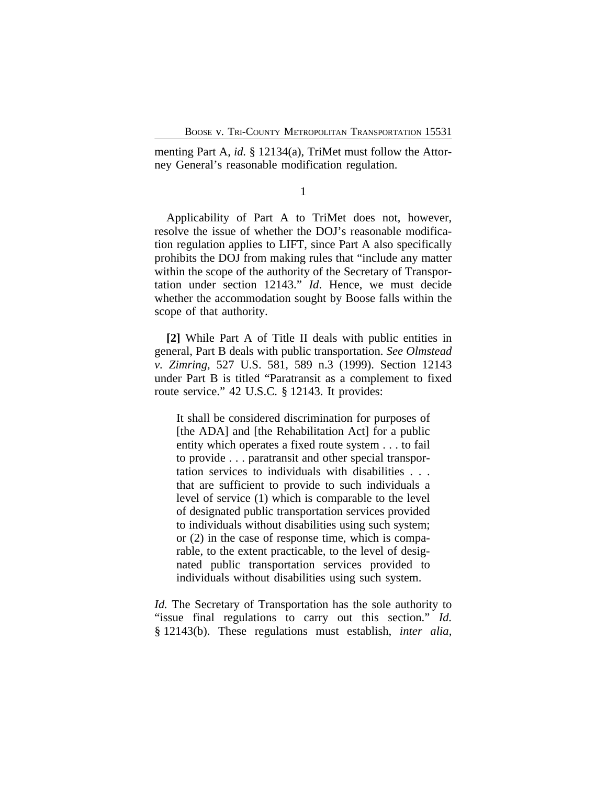menting Part A, *id.* § 12134(a), TriMet must follow the Attorney General's reasonable modification regulation.

1

Applicability of Part A to TriMet does not, however, resolve the issue of whether the DOJ's reasonable modification regulation applies to LIFT, since Part A also specifically prohibits the DOJ from making rules that "include any matter within the scope of the authority of the Secretary of Transportation under section 12143." *Id*. Hence, we must decide whether the accommodation sought by Boose falls within the scope of that authority.

**[2]** While Part A of Title II deals with public entities in general, Part B deals with public transportation. *See Olmstead v. Zimring*, 527 U.S. 581, 589 n.3 (1999). Section 12143 under Part B is titled "Paratransit as a complement to fixed route service." 42 U.S.C. § 12143. It provides:

It shall be considered discrimination for purposes of [the ADA] and [the Rehabilitation Act] for a public entity which operates a fixed route system . . . to fail to provide . . . paratransit and other special transportation services to individuals with disabilities . . . that are sufficient to provide to such individuals a level of service (1) which is comparable to the level of designated public transportation services provided to individuals without disabilities using such system; or (2) in the case of response time, which is comparable, to the extent practicable, to the level of designated public transportation services provided to individuals without disabilities using such system.

*Id.* The Secretary of Transportation has the sole authority to "issue final regulations to carry out this section." *Id.* § 12143(b). These regulations must establish, *inter alia*,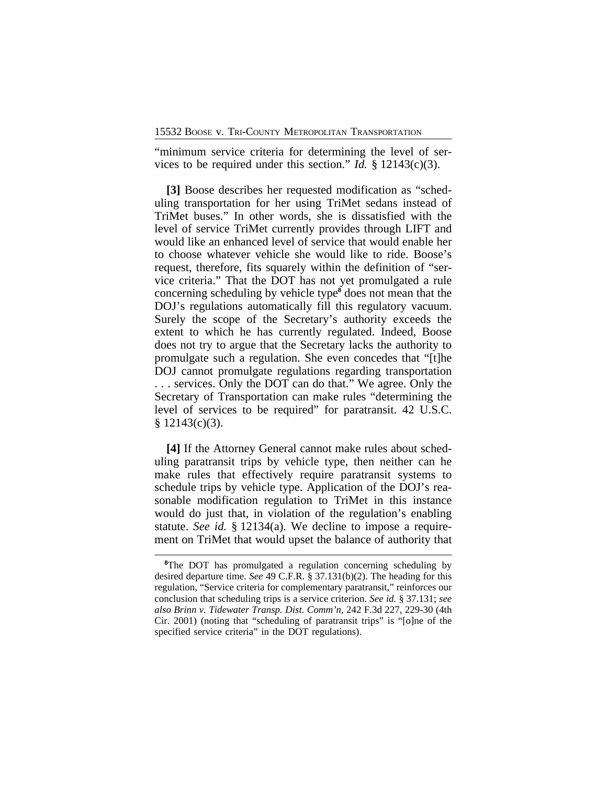"minimum service criteria for determining the level of services to be required under this section." *Id.* § 12143(c)(3).

**[3]** Boose describes her requested modification as "scheduling transportation for her using TriMet sedans instead of TriMet buses." In other words, she is dissatisfied with the level of service TriMet currently provides through LIFT and would like an enhanced level of service that would enable her to choose whatever vehicle she would like to ride. Boose's request, therefore, fits squarely within the definition of "service criteria." That the DOT has not yet promulgated a rule concerning scheduling by vehicle type**<sup>8</sup>** does not mean that the DOJ's regulations automatically fill this regulatory vacuum. Surely the scope of the Secretary's authority exceeds the extent to which he has currently regulated. Indeed, Boose does not try to argue that the Secretary lacks the authority to promulgate such a regulation. She even concedes that "[t]he DOJ cannot promulgate regulations regarding transportation . . . services. Only the DOT can do that." We agree. Only the Secretary of Transportation can make rules "determining the level of services to be required" for paratransit. 42 U.S.C.  $§ 12143(c)(3).$ 

**[4]** If the Attorney General cannot make rules about scheduling paratransit trips by vehicle type, then neither can he make rules that effectively require paratransit systems to schedule trips by vehicle type. Application of the DOJ's reasonable modification regulation to TriMet in this instance would do just that, in violation of the regulation's enabling statute. *See id.* § 12134(a). We decline to impose a requirement on TriMet that would upset the balance of authority that

**<sup>8</sup>**The DOT has promulgated a regulation concerning scheduling by desired departure time. *See* 49 C.F.R. § 37.131(b)(2). The heading for this regulation, "Service criteria for complementary paratransit," reinforces our conclusion that scheduling trips is a service criterion. *See id.* § 37.131; *see also Brinn v. Tidewater Transp. Dist. Comm'n*, 242 F.3d 227, 229-30 (4th Cir. 2001) (noting that "scheduling of paratransit trips" is "[o]ne of the specified service criteria" in the DOT regulations).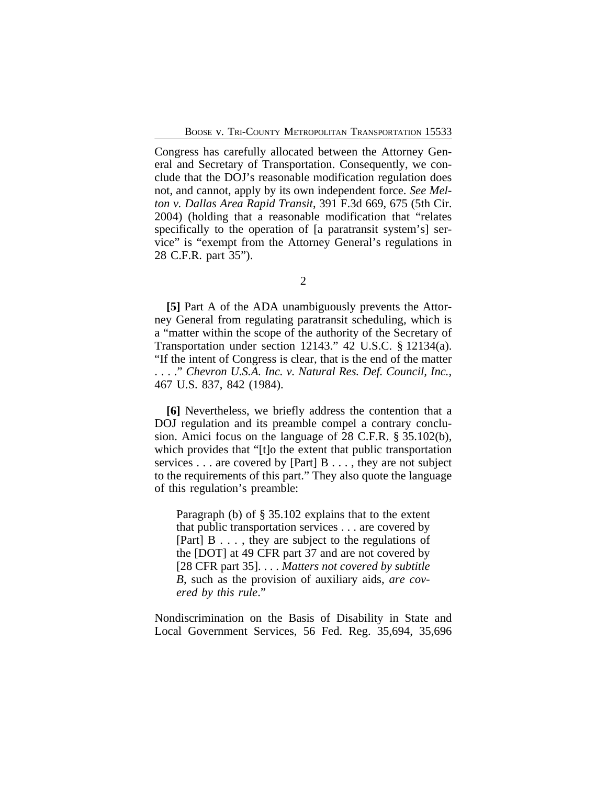Congress has carefully allocated between the Attorney General and Secretary of Transportation. Consequently, we conclude that the DOJ's reasonable modification regulation does not, and cannot, apply by its own independent force. *See Melton v. Dallas Area Rapid Transit*, 391 F.3d 669, 675 (5th Cir. 2004) (holding that a reasonable modification that "relates specifically to the operation of [a paratransit system's] service" is "exempt from the Attorney General's regulations in 28 C.F.R. part 35").

**[5]** Part A of the ADA unambiguously prevents the Attorney General from regulating paratransit scheduling, which is a "matter within the scope of the authority of the Secretary of Transportation under section 12143." 42 U.S.C. § 12134(a). "If the intent of Congress is clear, that is the end of the matter . . . ." *Chevron U.S.A. Inc. v. Natural Res. Def. Council, Inc.*, 467 U.S. 837, 842 (1984).

**[6]** Nevertheless, we briefly address the contention that a DOJ regulation and its preamble compel a contrary conclusion. Amici focus on the language of 28 C.F.R. § 35.102(b), which provides that "[t]o the extent that public transportation services . . . are covered by [Part] B . . . , they are not subject to the requirements of this part." They also quote the language of this regulation's preamble:

Paragraph (b) of § 35.102 explains that to the extent that public transportation services . . . are covered by [Part] B . . . , they are subject to the regulations of the [DOT] at 49 CFR part 37 and are not covered by [28 CFR part 35]. . . . *Matters not covered by subtitle B*, such as the provision of auxiliary aids, *are covered by this rule*."

Nondiscrimination on the Basis of Disability in State and Local Government Services, 56 Fed. Reg. 35,694, 35,696

<sup>2</sup>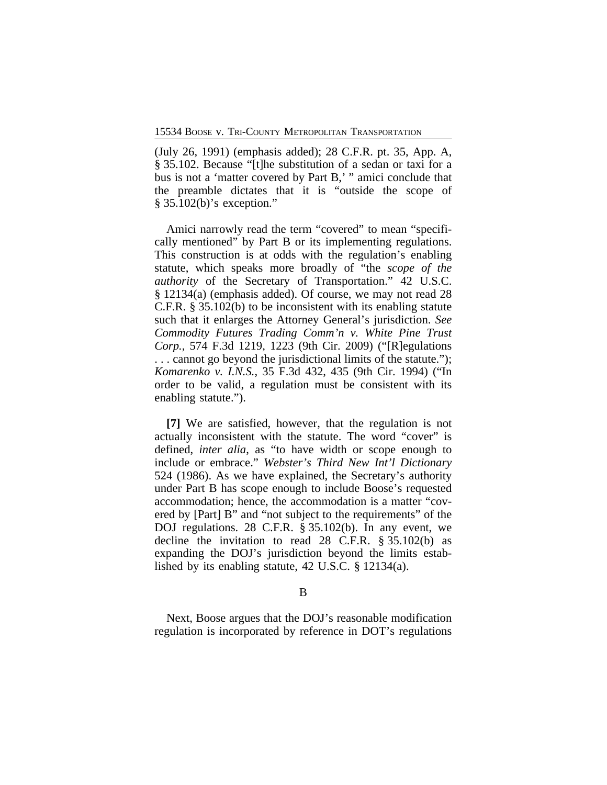(July 26, 1991) (emphasis added); 28 C.F.R. pt. 35, App. A, § 35.102. Because "[t]he substitution of a sedan or taxi for a bus is not a 'matter covered by Part B,' " amici conclude that the preamble dictates that it is "outside the scope of § 35.102(b)'s exception."

Amici narrowly read the term "covered" to mean "specifically mentioned" by Part B or its implementing regulations. This construction is at odds with the regulation's enabling statute, which speaks more broadly of "the *scope of the authority* of the Secretary of Transportation." 42 U.S.C. § 12134(a) (emphasis added). Of course, we may not read 28 C.F.R. § 35.102(b) to be inconsistent with its enabling statute such that it enlarges the Attorney General's jurisdiction. *See Commodity Futures Trading Comm'n v. White Pine Trust Corp.*, 574 F.3d 1219, 1223 (9th Cir. 2009) ("[R]egulations . . . cannot go beyond the jurisdictional limits of the statute."); *Komarenko v. I.N.S.*, 35 F.3d 432, 435 (9th Cir. 1994) ("In order to be valid, a regulation must be consistent with its enabling statute.").

**[7]** We are satisfied, however, that the regulation is not actually inconsistent with the statute. The word "cover" is defined, *inter alia*, as "to have width or scope enough to include or embrace." *Webster's Third New Int'l Dictionary* 524 (1986). As we have explained, the Secretary's authority under Part B has scope enough to include Boose's requested accommodation; hence, the accommodation is a matter "covered by [Part] B" and "not subject to the requirements" of the DOJ regulations. 28 C.F.R. § 35.102(b). In any event, we decline the invitation to read 28 C.F.R. § 35.102(b) as expanding the DOJ's jurisdiction beyond the limits established by its enabling statute, 42 U.S.C. § 12134(a).

B

Next, Boose argues that the DOJ's reasonable modification regulation is incorporated by reference in DOT's regulations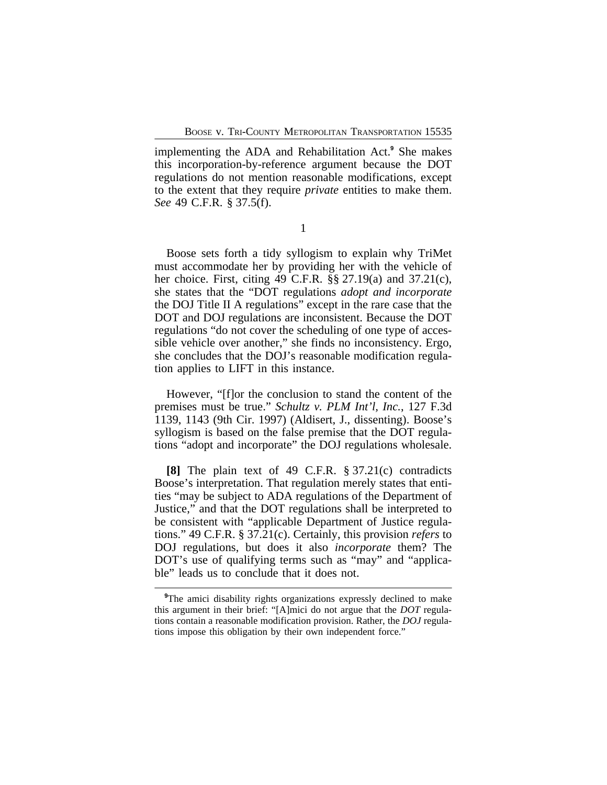implementing the ADA and Rehabilitation Act.**<sup>9</sup>** She makes this incorporation-by-reference argument because the DOT regulations do not mention reasonable modifications, except to the extent that they require *private* entities to make them. *See* 49 C.F.R. § 37.5(f).

1

Boose sets forth a tidy syllogism to explain why TriMet must accommodate her by providing her with the vehicle of her choice. First, citing 49 C.F.R. §§ 27.19(a) and 37.21(c), she states that the "DOT regulations *adopt and incorporate* the DOJ Title II A regulations" except in the rare case that the DOT and DOJ regulations are inconsistent. Because the DOT regulations "do not cover the scheduling of one type of accessible vehicle over another," she finds no inconsistency. Ergo, she concludes that the DOJ's reasonable modification regulation applies to LIFT in this instance.

However, "[f]or the conclusion to stand the content of the premises must be true." *Schultz v. PLM Int'l, Inc.*, 127 F.3d 1139, 1143 (9th Cir. 1997) (Aldisert, J., dissenting). Boose's syllogism is based on the false premise that the DOT regulations "adopt and incorporate" the DOJ regulations wholesale.

**[8]** The plain text of 49 C.F.R. § 37.21(c) contradicts Boose's interpretation. That regulation merely states that entities "may be subject to ADA regulations of the Department of Justice," and that the DOT regulations shall be interpreted to be consistent with "applicable Department of Justice regulations." 49 C.F.R. § 37.21(c). Certainly, this provision *refers* to DOJ regulations, but does it also *incorporate* them? The DOT's use of qualifying terms such as "may" and "applicable" leads us to conclude that it does not.

<sup>&</sup>lt;sup>9</sup>The amici disability rights organizations expressly declined to make this argument in their brief: "[A]mici do not argue that the *DOT* regulations contain a reasonable modification provision. Rather, the *DOJ* regulations impose this obligation by their own independent force."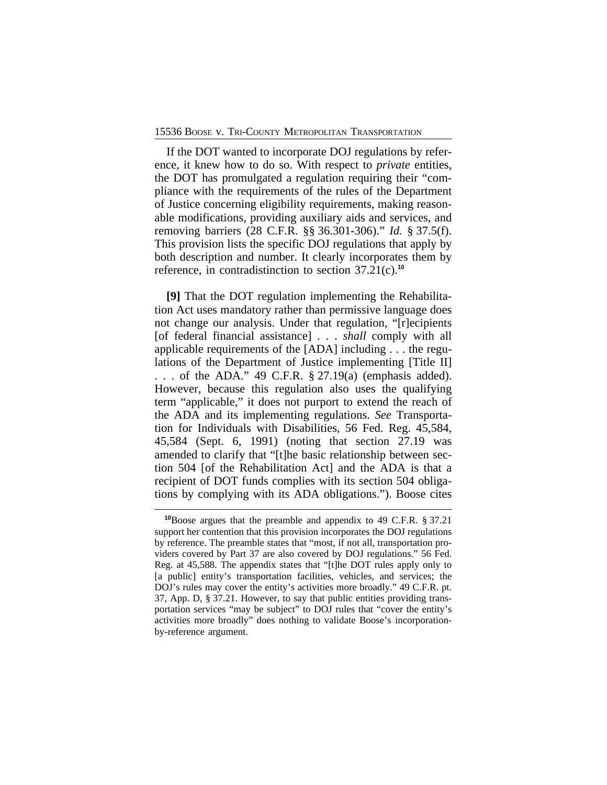If the DOT wanted to incorporate DOJ regulations by reference, it knew how to do so. With respect to *private* entities, the DOT has promulgated a regulation requiring their "compliance with the requirements of the rules of the Department of Justice concerning eligibility requirements, making reasonable modifications, providing auxiliary aids and services, and removing barriers (28 C.F.R. §§ 36.301-306)." *Id.* § 37.5(f). This provision lists the specific DOJ regulations that apply by both description and number. It clearly incorporates them by reference, in contradistinction to section 37.21(c).**<sup>10</sup>**

**[9]** That the DOT regulation implementing the Rehabilitation Act uses mandatory rather than permissive language does not change our analysis. Under that regulation, "[r]ecipients [of federal financial assistance] . . . *shall* comply with all applicable requirements of the [ADA] including . . . the regulations of the Department of Justice implementing [Title II] . . . of the ADA." 49 C.F.R. § 27.19(a) (emphasis added). However, because this regulation also uses the qualifying term "applicable," it does not purport to extend the reach of the ADA and its implementing regulations. *See* Transportation for Individuals with Disabilities, 56 Fed. Reg. 45,584, 45,584 (Sept. 6, 1991) (noting that section 27.19 was amended to clarify that "[t]he basic relationship between section 504 [of the Rehabilitation Act] and the ADA is that a recipient of DOT funds complies with its section 504 obligations by complying with its ADA obligations."). Boose cites

**<sup>10</sup>**Boose argues that the preamble and appendix to 49 C.F.R. § 37.21 support her contention that this provision incorporates the DOJ regulations by reference. The preamble states that "most, if not all, transportation providers covered by Part 37 are also covered by DOJ regulations." 56 Fed. Reg. at 45,588. The appendix states that "[t]he DOT rules apply only to [a public] entity's transportation facilities, vehicles, and services; the DOJ's rules may cover the entity's activities more broadly." 49 C.F.R. pt. 37, App. D, § 37.21. However, to say that public entities providing transportation services "may be subject" to DOJ rules that "cover the entity's activities more broadly" does nothing to validate Boose's incorporationby-reference argument.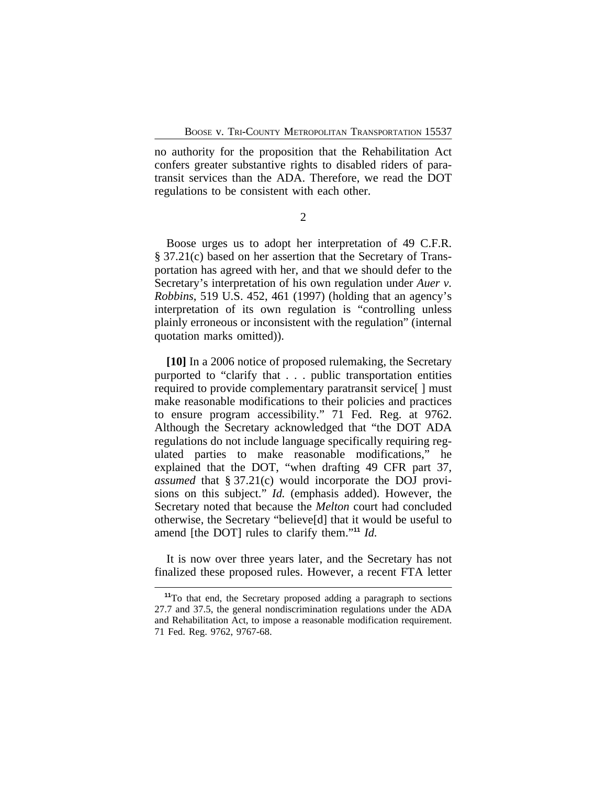no authority for the proposition that the Rehabilitation Act confers greater substantive rights to disabled riders of paratransit services than the ADA. Therefore, we read the DOT regulations to be consistent with each other.

2

Boose urges us to adopt her interpretation of 49 C.F.R. § 37.21(c) based on her assertion that the Secretary of Transportation has agreed with her, and that we should defer to the Secretary's interpretation of his own regulation under *Auer v. Robbins*, 519 U.S. 452, 461 (1997) (holding that an agency's interpretation of its own regulation is "controlling unless plainly erroneous or inconsistent with the regulation" (internal quotation marks omitted)).

**[10]** In a 2006 notice of proposed rulemaking, the Secretary purported to "clarify that . . . public transportation entities required to provide complementary paratransit service[ ] must make reasonable modifications to their policies and practices to ensure program accessibility." 71 Fed. Reg. at 9762. Although the Secretary acknowledged that "the DOT ADA regulations do not include language specifically requiring regulated parties to make reasonable modifications," he explained that the DOT, "when drafting 49 CFR part 37, *assumed* that § 37.21(c) would incorporate the DOJ provisions on this subject." *Id.* (emphasis added). However, the Secretary noted that because the *Melton* court had concluded otherwise, the Secretary "believe[d] that it would be useful to amend [the DOT] rules to clarify them."<sup>11</sup> *Id.* 

It is now over three years later, and the Secretary has not finalized these proposed rules. However, a recent FTA letter

**<sup>11</sup>**To that end, the Secretary proposed adding a paragraph to sections 27.7 and 37.5, the general nondiscrimination regulations under the ADA and Rehabilitation Act, to impose a reasonable modification requirement. 71 Fed. Reg. 9762, 9767-68.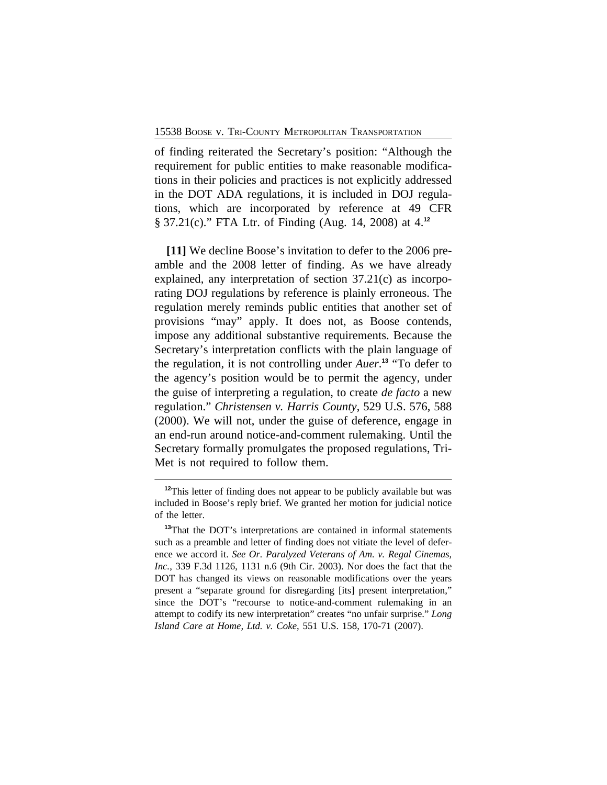of finding reiterated the Secretary's position: "Although the requirement for public entities to make reasonable modifications in their policies and practices is not explicitly addressed in the DOT ADA regulations, it is included in DOJ regulations, which are incorporated by reference at 49 CFR § 37.21(c)." FTA Ltr. of Finding (Aug. 14, 2008) at 4.**<sup>12</sup>**

**[11]** We decline Boose's invitation to defer to the 2006 preamble and the 2008 letter of finding. As we have already explained, any interpretation of section 37.21(c) as incorporating DOJ regulations by reference is plainly erroneous. The regulation merely reminds public entities that another set of provisions "may" apply. It does not, as Boose contends, impose any additional substantive requirements. Because the Secretary's interpretation conflicts with the plain language of the regulation, it is not controlling under *Auer*. **<sup>13</sup>** "To defer to the agency's position would be to permit the agency, under the guise of interpreting a regulation, to create *de facto* a new regulation." *Christensen v. Harris County*, 529 U.S. 576, 588 (2000). We will not, under the guise of deference, engage in an end-run around notice-and-comment rulemaking. Until the Secretary formally promulgates the proposed regulations, Tri-Met is not required to follow them.

<sup>&</sup>lt;sup>12</sup>This letter of finding does not appear to be publicly available but was included in Boose's reply brief. We granted her motion for judicial notice of the letter.

**<sup>13</sup>**That the DOT's interpretations are contained in informal statements such as a preamble and letter of finding does not vitiate the level of deference we accord it. *See Or. Paralyzed Veterans of Am. v. Regal Cinemas, Inc.*, 339 F.3d 1126, 1131 n.6 (9th Cir. 2003). Nor does the fact that the DOT has changed its views on reasonable modifications over the years present a "separate ground for disregarding [its] present interpretation," since the DOT's "recourse to notice-and-comment rulemaking in an attempt to codify its new interpretation" creates "no unfair surprise." *Long Island Care at Home, Ltd. v. Coke*, 551 U.S. 158, 170-71 (2007).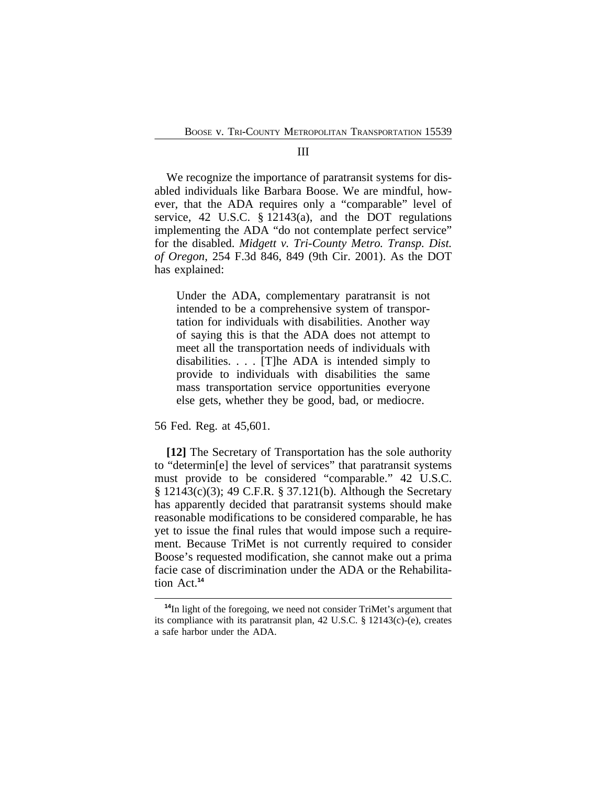#### III

We recognize the importance of paratransit systems for disabled individuals like Barbara Boose. We are mindful, however, that the ADA requires only a "comparable" level of service, 42 U.S.C. § 12143(a), and the DOT regulations implementing the ADA "do not contemplate perfect service" for the disabled. *Midgett v. Tri-County Metro. Transp. Dist. of Oregon*, 254 F.3d 846, 849 (9th Cir. 2001). As the DOT has explained:

Under the ADA, complementary paratransit is not intended to be a comprehensive system of transportation for individuals with disabilities. Another way of saying this is that the ADA does not attempt to meet all the transportation needs of individuals with disabilities. . . . [T]he ADA is intended simply to provide to individuals with disabilities the same mass transportation service opportunities everyone else gets, whether they be good, bad, or mediocre.

56 Fed. Reg. at 45,601.

**[12]** The Secretary of Transportation has the sole authority to "determin[e] the level of services" that paratransit systems must provide to be considered "comparable." 42 U.S.C. § 12143(c)(3); 49 C.F.R. § 37.121(b). Although the Secretary has apparently decided that paratransit systems should make reasonable modifications to be considered comparable, he has yet to issue the final rules that would impose such a requirement. Because TriMet is not currently required to consider Boose's requested modification, she cannot make out a prima facie case of discrimination under the ADA or the Rehabilitation Act.**<sup>14</sup>**

**<sup>14</sup>**In light of the foregoing, we need not consider TriMet's argument that its compliance with its paratransit plan, 42 U.S.C. § 12143(c)-(e), creates a safe harbor under the ADA.